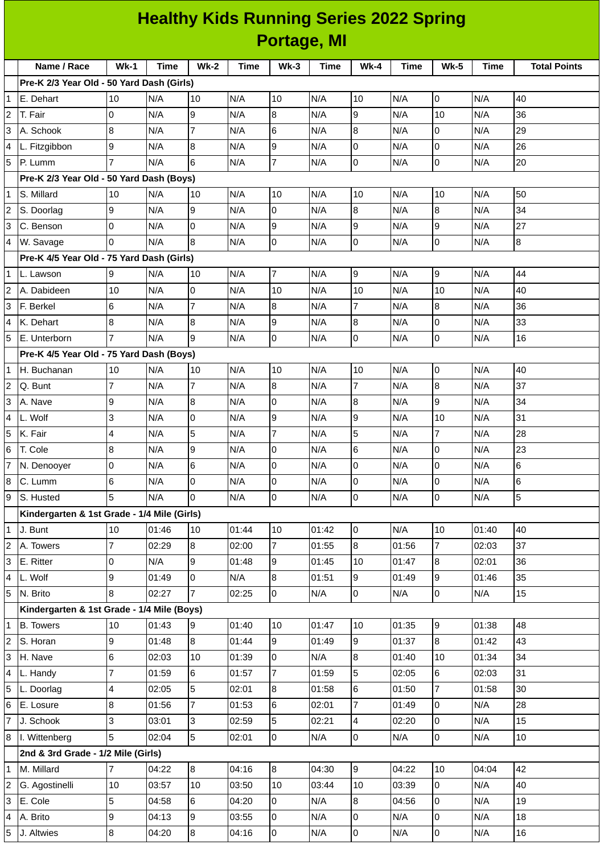## **Healthy Kids Running Series 2022 Spring Portage, MI**

|                | Name / Race                                 | $Wk-1$          | <b>Time</b> | $Wk-2$           | <b>Time</b> | $Wk-3$         | <b>Time</b> | $Wk-4$                   | <b>Time</b>             | <b>Wk-5</b>    | <b>Time</b> | <b>Total Points</b> |
|----------------|---------------------------------------------|-----------------|-------------|------------------|-------------|----------------|-------------|--------------------------|-------------------------|----------------|-------------|---------------------|
|                | Pre-K 2/3 Year Old - 50 Yard Dash (Girls)   |                 |             |                  |             |                |             |                          |                         |                |             |                     |
| 1              | E. Dehart                                   | 10              | N/A         | 10               | N/A         | 10             | N/A         | 10                       | N/A                     | $\mathsf 0$    | N/A         | 40                  |
| 2              | T. Fair                                     | 0               | N/A         | 9                | N/A         | 8              | N/A         | 9                        | N/A                     | 10             | N/A         | 36                  |
| 3              | A. Schook                                   | 8               | N/A         | $\overline{7}$   | N/A         | 6              | N/A         | 8                        | N/A                     | $\mathbf 0$    | N/A         | 29                  |
| 4              | L. Fitzgibbon                               | 9               | N/A         | $\overline{8}$   | N/A         | 9              | N/A         | $\pmb{0}$                | N/A                     | $\mathbf 0$    | N/A         | 26                  |
| 5              | IP. Lumm                                    | $\overline{7}$  | N/A         | 6                | N/A         | $\overline{7}$ | N/A         | $\mathsf 0$              | N/A                     | $\mathsf 0$    | N/A         | 20                  |
|                | Pre-K 2/3 Year Old - 50 Yard Dash (Boys)    |                 |             |                  |             |                |             |                          |                         |                |             |                     |
| 1              | S. Millard                                  | 10              | N/A         | 10               | N/A         | 10             | N/A         | 10                       | N/A                     | 10             | N/A         | 50                  |
| 2              | S. Doorlag                                  | 9               | N/A         | 9                | N/A         | 0              | N/A         | $\bf{8}$                 | N/A                     | 8              | N/A         | 34                  |
| 3              | C. Benson                                   | $\overline{0}$  | N/A         | $\overline{0}$   | N/A         | 9              | N/A         | 9                        | N/A                     | 9              | N/A         | 27                  |
| 4              | W. Savage                                   | 0               | N/A         | $\bf{8}$         | N/A         | $\overline{0}$ | N/A         | $\overline{0}$           | N/A                     | $\overline{0}$ | N/A         | 8                   |
|                | Pre-K 4/5 Year Old - 75 Yard Dash (Girls)   |                 |             |                  |             |                |             |                          |                         |                |             |                     |
| $\mathbf{1}$   | L. Lawson                                   | 9               | N/A         | 10               | N/A         | $\overline{7}$ | N/A         | 9                        | N/A                     | 9              | N/A         | 44                  |
| 2              | A. Dabideen                                 | 10              | N/A         | 0                | N/A         | 10             | N/A         | 10                       | N/A                     | 10             | N/A         | 40                  |
| 3              | F. Berkel                                   | $\,$ 6          | N/A         | $\overline{7}$   | N/A         | 8              | N/A         | $\overline{7}$           | N/A                     | 8              | N/A         | 36                  |
| 4              | K. Dehart                                   | 8               | N/A         | $\overline{8}$   | N/A         | 9              | N/A         | $\boldsymbol{8}$         | N/A                     | $\mathsf 0$    | N/A         | 33                  |
| 5              | E. Unterborn                                | $\overline{7}$  | N/A         | 9                | N/A         | 0              | N/A         | $\pmb{0}$                | N/A                     | $\mathsf 0$    | N/A         | 16                  |
|                | Pre-K 4/5 Year Old - 75 Yard Dash (Boys)    |                 |             |                  |             |                |             |                          |                         |                |             |                     |
| $\mathbf{1}$   | H. Buchanan                                 | 10              | N/A         | 10               | N/A         | 10             | N/A         | 10                       | N/A                     | 0              | N/A         | 40                  |
| $\overline{c}$ | Q. Bunt                                     | $\overline{7}$  | N/A         | $\overline{7}$   | N/A         | 8              | N/A         | $\overline{7}$           | N/A                     | $\overline{8}$ | N/A         | 37                  |
| 3              | A. Nave                                     | 9               | N/A         | $\overline{8}$   | N/A         | 0              | N/A         | $\overline{8}$           | N/A                     | 9              | N/A         | 34                  |
| 4              | L. Wolf                                     | 3               | N/A         | 0                | N/A         | 9              | N/A         | 9                        | N/A                     | 10             | N/A         | 31                  |
| 5              | K. Fair                                     | 4               | N/A         | 5                | N/A         | $\overline{7}$ | N/A         | 5                        | N/A                     | $\overline{7}$ | N/A         | 28                  |
| 6              | T. Cole                                     | $\bf{8}$        | N/A         | 9                | N/A         | 0              | N/A         | 6                        | N/A                     | $\mathsf 0$    | N/A         | 23                  |
| $\overline{7}$ | N. Denooyer                                 | 0               | N/A         | 6                | N/A         | 0              | N/A         | $\pmb{0}$                | N/A                     | $\mathsf 0$    | N/A         | 6                   |
| 8              | C. Lumm                                     | $6\phantom{.}6$ | N/A         | $\overline{0}$   | N/A         | 0              | N/A         | 0                        | N/A                     | 0              | N/A         | 6                   |
| 9              | S. Husted                                   | 5               | N/A         | $\overline{0}$   | N/A         | l0             | N/A         | Iо                       | $\mathsf{N}/\mathsf{A}$ | $\overline{0}$ | N/A         | 5                   |
|                | Kindergarten & 1st Grade - 1/4 Mile (Girls) |                 |             |                  |             |                |             |                          |                         |                |             |                     |
| $\mathbf{1}$   | J. Bunt                                     | 10              | 01:46       | 10               | 01:44       | 10             | 01:42       | $\overline{0}$           | N/A                     | 10             | 01:40       | 40                  |
| $\overline{c}$ | A. Towers                                   | 7               | 02:29       | 8                | 02:00       | 7              | 01:55       | 8                        | 01:56                   | $\overline{7}$ | 02:03       | 37                  |
| 3              | E. Ritter                                   | 0               | N/A         | 9                | 01:48       | 9              | 01:45       | 10                       | 01:47                   | 8              | 02:01       | 36                  |
| 4              | L. Wolf                                     | 9               | 01:49       | l0               | N/A         | 8              | 01:51       | 9                        | 01:49                   | 9              | 01:46       | 35                  |
| 5              | N. Brito                                    | 8               | 02:27       |                  | 02:25       | 0              | N/A         | $\overline{0}$           | N/A                     | 0              | N/A         | 15                  |
|                | Kindergarten & 1st Grade - 1/4 Mile (Boys)  |                 |             |                  |             |                |             |                          |                         |                |             |                     |
| 1              | <b>B.</b> Towers                            | 10              | 01:43       | 9                | 01:40       | 10             | 01:47       | 10                       | 01:35                   | 9              | 01:38       | 48                  |
| 2              | S. Horan                                    | 9               | 01:48       | 8                | 01:44       | 9              | 01:49       | 9                        | 01:37                   | $\overline{8}$ | 01:42       | 43                  |
| 3              | H. Nave                                     | 6               | 02:03       | 10               | 01:39       | 0              | N/A         | $\bf{8}$                 | 01:40                   | 10             | 01:34       | 34                  |
| 4              | L. Handy                                    | 7               | 01:59       | 6                | 01:57       | 7              | 01:59       | 5                        | 02:05                   | 6              | 02:03       | 31                  |
| 5              | L. Doorlag                                  | 4               | 02:05       | 5                | 02:01       | 8              | 01:58       | $6\phantom{.}$           | 01:50                   | $\overline{7}$ | 01:58       | 30                  |
| 6              | E. Losure                                   | 8               | 01:56       | $\overline{7}$   | 01:53       | 6              | 02:01       | $\overline{7}$           | 01:49                   | 0              | N/A         | 28                  |
| $\overline{7}$ | J. Schook                                   | 3               | 03:01       | 3                | 02:59       | 5              | 02:21       | $\overline{\mathcal{L}}$ | 02:20                   | 0              | N/A         | 15                  |
|                | 8   I. Wittenberg                           | 5               | 02:04       | 5                | 02:01       | $\overline{0}$ | N/A         | 0                        | N/A                     | 0              | N/A         | 10                  |
|                | 2nd & 3rd Grade - 1/2 Mile (Girls)          |                 |             |                  |             |                |             |                          |                         |                |             |                     |
| $\mathbf{1}$   | M. Millard                                  | $\overline{7}$  | 04:22       | 8                | 04:16       | 8              | 04:30       | 9                        | 04:22                   | 10             | 04:04       | 42                  |
| $\overline{c}$ | G. Agostinelli                              | 10              | 03:57       | 10               | 03:50       | 10             | 03:44       | 10                       | 03:39                   | 0              | N/A         | 40                  |
| 3              | E. Cole                                     | 5               | 04:58       | 6                | 04:20       | $\mathsf{O}$   | N/A         | $8\,$                    | 04:56                   | 0              | N/A         | 19                  |
| 4              | A. Brito                                    | 9               | 04:13       | 9                | 03:55       | 0              | N/A         | $\overline{0}$           | N/A                     | 0              | N/A         | 18                  |
| 5              | J. Altwies                                  | 8               | 04:20       | $\boldsymbol{8}$ | 04:16       | $\overline{0}$ | N/A         | 0                        | N/A                     | $\overline{0}$ | N/A         | 16                  |
|                |                                             |                 |             |                  |             |                |             |                          |                         |                |             |                     |